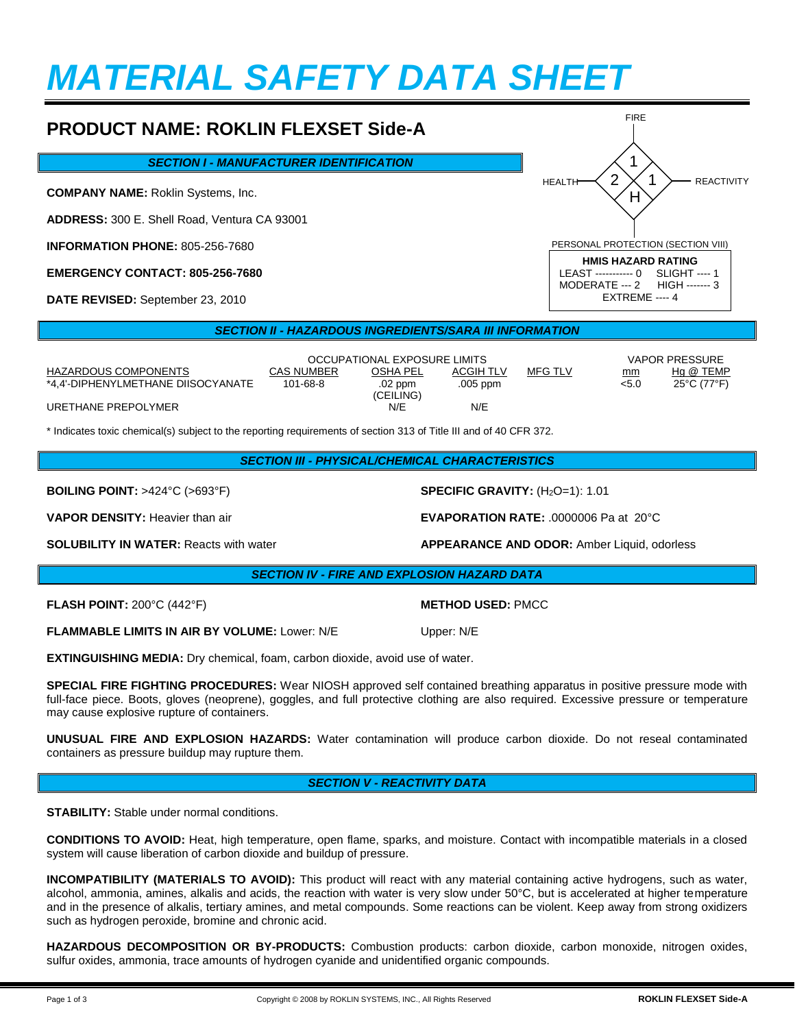# *MATERIAL SAFETY DATA SHEET*

#### **PRODUCT NAME: ROKLIN FLEXSET Side-A** *SECTION I - MANUFACTURER IDENTIFICATION* **COMPANY NAME:** Roklin Systems, Inc. **ADDRESS:** 300 E. Shell Road, Ventura CA 93001 **INFORMATION PHONE:** 805-256-7680 **EMERGENCY CONTACT: 805-256-7680 DATE REVISED:** September 23, 2010 1 1 H FIRE HEALTH  $\leq 2 \times 1$   $\rightarrow$  reactivity PERSONAL PROTECTION (SECTION VIII) **HMIS HAZARD RATING** LEAST ----------- 0<br>MODERATE --- 2 HIGH ------- 3 MODERATE --- 2 EXTREME ---- 4 2

## *SECTION II - HAZARDOUS INGREDIENTS/SARA III INFORMATION*

|                                    | OCCUPATIONAL EXPOSURE LIMITS |                      |                  |         |       | <b>VAPOR PRESSURE</b>            |  |
|------------------------------------|------------------------------|----------------------|------------------|---------|-------|----------------------------------|--|
| HAZARDOUS COMPONENTS               | <b>CAS NUMBER</b>            | OSHA PEL             | <b>ACGIH TLV</b> | MFG TLV | mm    | Ha @ TEMP                        |  |
| *4.4'-DIPHENYLMETHANE DIISOCYANATE | $101 - 68 - 8$               | .02 ppm<br>(CEILING) | .005 ppm         |         | < 5.0 | $25^{\circ}$ C (77 $^{\circ}$ F) |  |
| URETHANE PREPOLYMER                |                              | N/E                  | N/E              |         |       |                                  |  |

\* Indicates toxic chemical(s) subject to the reporting requirements of section 313 of Title III and of 40 CFR 372.

**BOILING POINT:** >424°C (>693°F) **SPECIFIC GRAVITY:** (H2O=1): 1.01

**VAPOR DENSITY:** Heavier than air **EVAPORATION RATE:** .0000006 Pa at 20°C

## *SECTION IV - FIRE AND EXPLOSION HAZARD DATA*

**FLASH POINT:** 200°C (442°F) **METHOD USED:** PMCC

**FLAMMABLE LIMITS IN AIR BY VOLUME:** Lower: N/E Upper: N/E

**EXTINGUISHING MEDIA:** Dry chemical, foam, carbon dioxide, avoid use of water.

**SPECIAL FIRE FIGHTING PROCEDURES:** Wear NIOSH approved self contained breathing apparatus in positive pressure mode with full-face piece. Boots, gloves (neoprene), goggles, and full protective clothing are also required. Excessive pressure or temperature may cause explosive rupture of containers.

**UNUSUAL FIRE AND EXPLOSION HAZARDS:** Water contamination will produce carbon dioxide. Do not reseal contaminated containers as pressure buildup may rupture them.

### *SECTION V - REACTIVITY DATA*

**STABILITY:** Stable under normal conditions.

**CONDITIONS TO AVOID:** Heat, high temperature, open flame, sparks, and moisture. Contact with incompatible materials in a closed system will cause liberation of carbon dioxide and buildup of pressure.

**INCOMPATIBILITY (MATERIALS TO AVOID):** This product will react with any material containing active hydrogens, such as water, alcohol, ammonia, amines, alkalis and acids, the reaction with water is very slow under 50°C, but is accelerated at higher temperature and in the presence of alkalis, tertiary amines, and metal compounds. Some reactions can be violent. Keep away from strong oxidizers such as hydrogen peroxide, bromine and chronic acid.

**HAZARDOUS DECOMPOSITION OR BY-PRODUCTS:** Combustion products: carbon dioxide, carbon monoxide, nitrogen oxides, sulfur oxides, ammonia, trace amounts of hydrogen cyanide and unidentified organic compounds.

**SOLUBILITY IN WATER:** Reacts with water **ACCUSE AND APPEARANCE AND ODOR:** Amber Liquid, odorless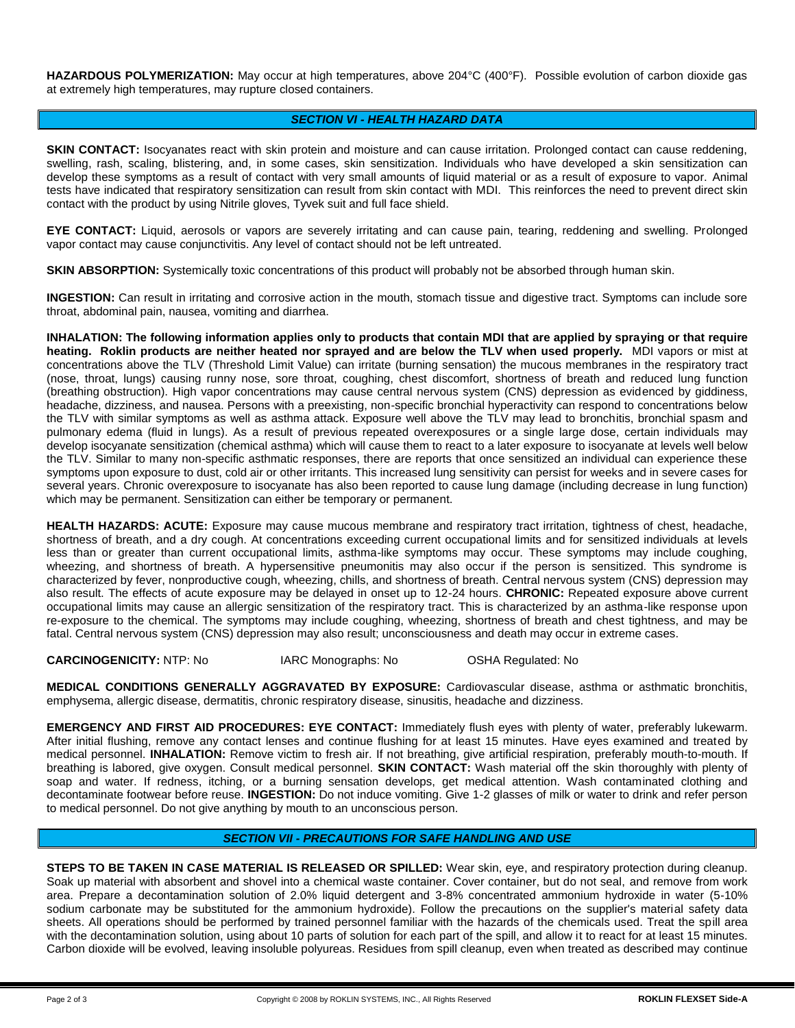**HAZARDOUS POLYMERIZATION:** May occur at high temperatures, above 204°C (400°F). Possible evolution of carbon dioxide gas at extremely high temperatures, may rupture closed containers.

### *SECTION VI - HEALTH HAZARD DATA*

**SKIN CONTACT:** Isocyanates react with skin protein and moisture and can cause irritation. Prolonged contact can cause reddening, swelling, rash, scaling, blistering, and, in some cases, skin sensitization. Individuals who have developed a skin sensitization can develop these symptoms as a result of contact with very small amounts of liquid material or as a result of exposure to vapor. Animal tests have indicated that respiratory sensitization can result from skin contact with MDI. This reinforces the need to prevent direct skin contact with the product by using Nitrile gloves, Tyvek suit and full face shield.

**EYE CONTACT:** Liquid, aerosols or vapors are severely irritating and can cause pain, tearing, reddening and swelling. Prolonged vapor contact may cause conjunctivitis. Any level of contact should not be left untreated.

**SKIN ABSORPTION:** Systemically toxic concentrations of this product will probably not be absorbed through human skin.

**INGESTION:** Can result in irritating and corrosive action in the mouth, stomach tissue and digestive tract. Symptoms can include sore throat, abdominal pain, nausea, vomiting and diarrhea.

**INHALATION: The following information applies only to products that contain MDI that are applied by spraying or that require heating. Roklin products are neither heated nor sprayed and are below the TLV when used properly.** MDI vapors or mist at concentrations above the TLV (Threshold Limit Value) can irritate (burning sensation) the mucous membranes in the respiratory tract (nose, throat, lungs) causing runny nose, sore throat, coughing, chest discomfort, shortness of breath and reduced lung function (breathing obstruction). High vapor concentrations may cause central nervous system (CNS) depression as evidenced by giddiness, headache, dizziness, and nausea. Persons with a preexisting, non-specific bronchial hyperactivity can respond to concentrations below the TLV with similar symptoms as well as asthma attack. Exposure well above the TLV may lead to bronchitis, bronchial spasm and pulmonary edema (fluid in lungs). As a result of previous repeated overexposures or a single large dose, certain individuals may develop isocyanate sensitization (chemical asthma) which will cause them to react to a later exposure to isocyanate at levels well below the TLV. Similar to many non-specific asthmatic responses, there are reports that once sensitized an individual can experience these symptoms upon exposure to dust, cold air or other irritants. This increased lung sensitivity can persist for weeks and in severe cases for several years. Chronic overexposure to isocyanate has also been reported to cause lung damage (including decrease in lung function) which may be permanent. Sensitization can either be temporary or permanent.

**HEALTH HAZARDS: ACUTE:** Exposure may cause mucous membrane and respiratory tract irritation, tightness of chest, headache, shortness of breath, and a dry cough. At concentrations exceeding current occupational limits and for sensitized individuals at levels less than or greater than current occupational limits, asthma-like symptoms may occur. These symptoms may include coughing, wheezing, and shortness of breath. A hypersensitive pneumonitis may also occur if the person is sensitized. This syndrome is characterized by fever, nonproductive cough, wheezing, chills, and shortness of breath. Central nervous system (CNS) depression may also result. The effects of acute exposure may be delayed in onset up to 12-24 hours. **CHRONIC:** Repeated exposure above current occupational limits may cause an allergic sensitization of the respiratory tract. This is characterized by an asthma-like response upon re-exposure to the chemical. The symptoms may include coughing, wheezing, shortness of breath and chest tightness, and may be fatal. Central nervous system (CNS) depression may also result; unconsciousness and death may occur in extreme cases.

**CARCINOGENICITY:** NTP: No IARC Monographs: No OSHA Regulated: No

**MEDICAL CONDITIONS GENERALLY AGGRAVATED BY EXPOSURE:** Cardiovascular disease, asthma or asthmatic bronchitis, emphysema, allergic disease, dermatitis, chronic respiratory disease, sinusitis, headache and dizziness.

**EMERGENCY AND FIRST AID PROCEDURES: EYE CONTACT:** Immediately flush eyes with plenty of water, preferably lukewarm. After initial flushing, remove any contact lenses and continue flushing for at least 15 minutes. Have eyes examined and treated by medical personnel. **INHALATION:** Remove victim to fresh air. If not breathing, give artificial respiration, preferably mouth-to-mouth. If breathing is labored, give oxygen. Consult medical personnel. **SKIN CONTACT:** Wash material off the skin thoroughly with plenty of soap and water. If redness, itching, or a burning sensation develops, get medical attention. Wash contaminated clothing and decontaminate footwear before reuse. **INGESTION:** Do not induce vomiting. Give 1-2 glasses of milk or water to drink and refer person to medical personnel. Do not give anything by mouth to an unconscious person.

#### *SECTION VII - PRECAUTIONS FOR SAFE HANDLING AND USE*

**STEPS TO BE TAKEN IN CASE MATERIAL IS RELEASED OR SPILLED:** Wear skin, eye, and respiratory protection during cleanup. Soak up material with absorbent and shovel into a chemical waste container. Cover container, but do not seal, and remove from work area. Prepare a decontamination solution of 2.0% liquid detergent and 3-8% concentrated ammonium hydroxide in water (5-10% sodium carbonate may be substituted for the ammonium hydroxide). Follow the precautions on the supplier's material safety data sheets. All operations should be performed by trained personnel familiar with the hazards of the chemicals used. Treat the spill area with the decontamination solution, using about 10 parts of solution for each part of the spill, and allow it to react for at least 15 minutes. Carbon dioxide will be evolved, leaving insoluble polyureas. Residues from spill cleanup, even when treated as described may continue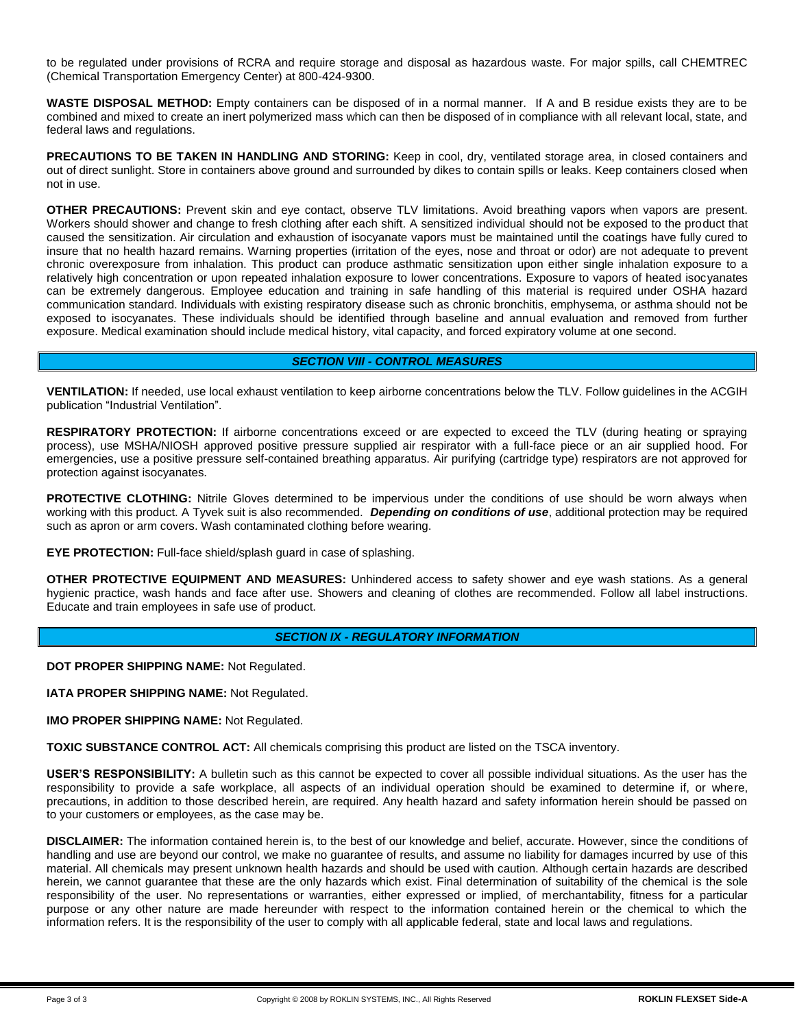to be regulated under provisions of RCRA and require storage and disposal as hazardous waste. For major spills, call CHEMTREC (Chemical Transportation Emergency Center) at 800-424-9300.

**WASTE DISPOSAL METHOD:** Empty containers can be disposed of in a normal manner. If A and B residue exists they are to be combined and mixed to create an inert polymerized mass which can then be disposed of in compliance with all relevant local, state, and federal laws and regulations.

PRECAUTIONS TO BE TAKEN IN HANDLING AND STORING: Keep in cool, dry, ventilated storage area, in closed containers and out of direct sunlight. Store in containers above ground and surrounded by dikes to contain spills or leaks. Keep containers closed when not in use.

**OTHER PRECAUTIONS:** Prevent skin and eye contact, observe TLV limitations. Avoid breathing vapors when vapors are present. Workers should shower and change to fresh clothing after each shift. A sensitized individual should not be exposed to the product that caused the sensitization. Air circulation and exhaustion of isocyanate vapors must be maintained until the coatings have fully cured to insure that no health hazard remains. Warning properties (irritation of the eyes, nose and throat or odor) are not adequate to prevent chronic overexposure from inhalation. This product can produce asthmatic sensitization upon either single inhalation exposure to a relatively high concentration or upon repeated inhalation exposure to lower concentrations. Exposure to vapors of heated isocyanates can be extremely dangerous. Employee education and training in safe handling of this material is required under OSHA hazard communication standard. Individuals with existing respiratory disease such as chronic bronchitis, emphysema, or asthma should not be exposed to isocyanates. These individuals should be identified through baseline and annual evaluation and removed from further exposure. Medical examination should include medical history, vital capacity, and forced expiratory volume at one second.

#### *SECTION VIII - CONTROL MEASURES*

**VENTILATION:** If needed, use local exhaust ventilation to keep airborne concentrations below the TLV. Follow guidelines in the ACGIH publication "Industrial Ventilation".

**RESPIRATORY PROTECTION:** If airborne concentrations exceed or are expected to exceed the TLV (during heating or spraying process), use MSHA/NIOSH approved positive pressure supplied air respirator with a full-face piece or an air supplied hood. For emergencies, use a positive pressure self-contained breathing apparatus. Air purifying (cartridge type) respirators are not approved for protection against isocyanates.

**PROTECTIVE CLOTHING:** Nitrile Gloves determined to be impervious under the conditions of use should be worn always when working with this product. A Tyvek suit is also recommended. *Depending on conditions of use*, additional protection may be required such as apron or arm covers. Wash contaminated clothing before wearing.

**EYE PROTECTION:** Full-face shield/splash guard in case of splashing.

**OTHER PROTECTIVE EQUIPMENT AND MEASURES:** Unhindered access to safety shower and eye wash stations. As a general hygienic practice, wash hands and face after use. Showers and cleaning of clothes are recommended. Follow all label instructions. Educate and train employees in safe use of product.

#### *SECTION IX - REGULATORY INFORMATION*

**DOT PROPER SHIPPING NAME:** Not Regulated.

**IATA PROPER SHIPPING NAME:** Not Regulated.

**IMO PROPER SHIPPING NAME:** Not Regulated.

**TOXIC SUBSTANCE CONTROL ACT:** All chemicals comprising this product are listed on the TSCA inventory.

**USER'S RESPONSIBILITY:** A bulletin such as this cannot be expected to cover all possible individual situations. As the user has the responsibility to provide a safe workplace, all aspects of an individual operation should be examined to determine if, or where, precautions, in addition to those described herein, are required. Any health hazard and safety information herein should be passed on to your customers or employees, as the case may be.

**DISCLAIMER:** The information contained herein is, to the best of our knowledge and belief, accurate. However, since the conditions of handling and use are beyond our control, we make no guarantee of results, and assume no liability for damages incurred by use of this material. All chemicals may present unknown health hazards and should be used with caution. Although certain hazards are described herein, we cannot guarantee that these are the only hazards which exist. Final determination of suitability of the chemical is the sole responsibility of the user. No representations or warranties, either expressed or implied, of merchantability, fitness for a particular purpose or any other nature are made hereunder with respect to the information contained herein or the chemical to which the information refers. It is the responsibility of the user to comply with all applicable federal, state and local laws and regulations.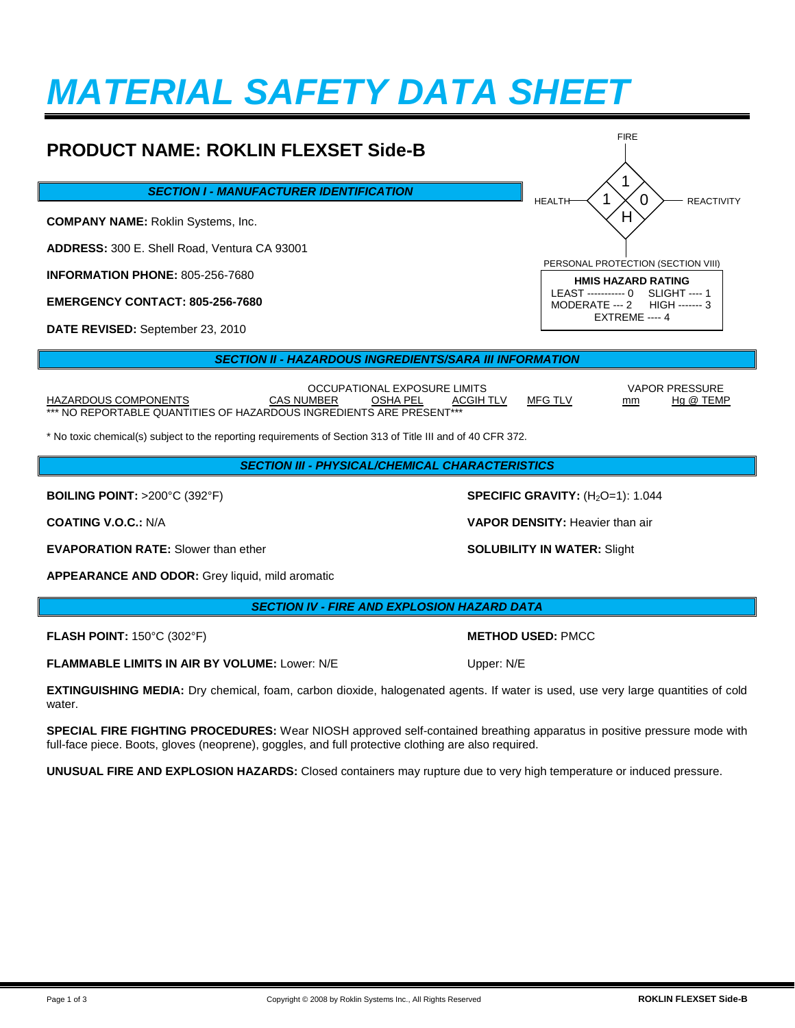# *MATERIAL SAFETY DATA SHEET*

#### **PRODUCT NAME: ROKLIN FLEXSET Side-B** *SECTION I - MANUFACTURER IDENTIFICATION* **COMPANY NAME:** Roklin Systems, Inc. **ADDRESS:** 300 E. Shell Road, Ventura CA 93001 **INFORMATION PHONE:** 805-256-7680 **EMERGENCY CONTACT: 805-256-7680 DATE REVISED:** September 23, 2010 *SECTION II - HAZARDOUS INGREDIENTS/SARA III INFORMATION* 1 0  $H$ FIRE HEALTH  $\left( 1 \times 0 \right)$  REACTIVITY PERSONAL PROTECTION (SECTION VIII) **HMIS HAZARD RATING** LEAST ----------- 0 SLIGHT ---- 1<br>MODERATE --- 2 HIGH ------- 3 MODERATE --- 2 EXTREME ---- 4 1

OCCUPATIONAL EXPOSURE LIMITS VAPOR PRESSURE HAZARDOUS COMPONENTS CAS NUMBER OSHA PEL ACGIH TLV MFG TLV mm Hg @ TEMP \*\*\* NO REPORTABLE QUANTITIES OF HAZARDOUS INGREDIENTS ARE PRESENT\*\*\*

\* No toxic chemical(s) subject to the reporting requirements of Section 313 of Title III and of 40 CFR 372.

*SECTION III - PHYSICAL/CHEMICAL CHARACTERISTICS*

**EVAPORATION RATE:** Slower than ether **SOLUBILITY IN WATER:** Slight

**APPEARANCE AND ODOR:** Grey liquid, mild aromatic

*SECTION IV - FIRE AND EXPLOSION HAZARD DATA*

**FLASH POINT:** 150°C (302°F) **METHOD USED:** PMCC

**FLAMMABLE LIMITS IN AIR BY VOLUME:** Lower: N/E Upper: N/E

**EXTINGUISHING MEDIA:** Dry chemical, foam, carbon dioxide, halogenated agents. If water is used, use very large quantities of cold water

**SPECIAL FIRE FIGHTING PROCEDURES:** Wear NIOSH approved self-contained breathing apparatus in positive pressure mode with full-face piece. Boots, gloves (neoprene), goggles, and full protective clothing are also required.

**UNUSUAL FIRE AND EXPLOSION HAZARDS:** Closed containers may rupture due to very high temperature or induced pressure.

**BOILING POINT:** >200°C (392°F) **SPECIFIC GRAVITY:** (H<sub>2</sub>O=1): 1.044

**COATING V.O.C.:** N/A **VAPOR DENSITY:** Heavier than air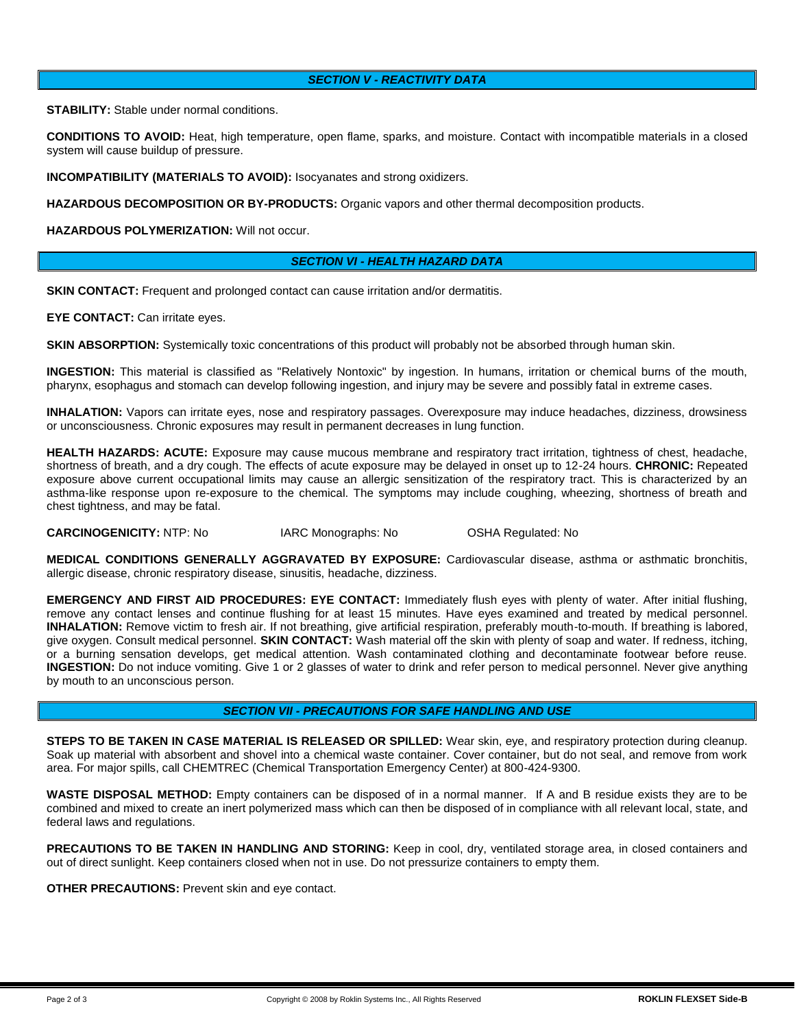### *SECTION V - REACTIVITY DATA*

**STABILITY:** Stable under normal conditions.

**CONDITIONS TO AVOID:** Heat, high temperature, open flame, sparks, and moisture. Contact with incompatible materials in a closed system will cause buildup of pressure.

**INCOMPATIBILITY (MATERIALS TO AVOID):** Isocyanates and strong oxidizers.

**HAZARDOUS DECOMPOSITION OR BY-PRODUCTS:** Organic vapors and other thermal decomposition products.

**HAZARDOUS POLYMERIZATION:** Will not occur.

#### *SECTION VI - HEALTH HAZARD DATA*

**SKIN CONTACT:** Frequent and prolonged contact can cause irritation and/or dermatitis.

**EYE CONTACT:** Can irritate eyes.

**SKIN ABSORPTION:** Systemically toxic concentrations of this product will probably not be absorbed through human skin.

**INGESTION:** This material is classified as "Relatively Nontoxic" by ingestion. In humans, irritation or chemical burns of the mouth, pharynx, esophagus and stomach can develop following ingestion, and injury may be severe and possibly fatal in extreme cases.

**INHALATION:** Vapors can irritate eyes, nose and respiratory passages. Overexposure may induce headaches, dizziness, drowsiness or unconsciousness. Chronic exposures may result in permanent decreases in lung function.

**HEALTH HAZARDS: ACUTE:** Exposure may cause mucous membrane and respiratory tract irritation, tightness of chest, headache, shortness of breath, and a dry cough. The effects of acute exposure may be delayed in onset up to 12-24 hours. **CHRONIC:** Repeated exposure above current occupational limits may cause an allergic sensitization of the respiratory tract. This is characterized by an asthma-like response upon re-exposure to the chemical. The symptoms may include coughing, wheezing, shortness of breath and chest tightness, and may be fatal.

**CARCINOGENICITY:** NTP: No IARC Monographs: No OSHA Regulated: No

**MEDICAL CONDITIONS GENERALLY AGGRAVATED BY EXPOSURE:** Cardiovascular disease, asthma or asthmatic bronchitis, allergic disease, chronic respiratory disease, sinusitis, headache, dizziness.

**EMERGENCY AND FIRST AID PROCEDURES: EYE CONTACT:** Immediately flush eyes with plenty of water. After initial flushing, remove any contact lenses and continue flushing for at least 15 minutes. Have eyes examined and treated by medical personnel. **INHALATION:** Remove victim to fresh air. If not breathing, give artificial respiration, preferably mouth-to-mouth. If breathing is labored, give oxygen. Consult medical personnel. **SKIN CONTACT:** Wash material off the skin with plenty of soap and water. If redness, itching, or a burning sensation develops, get medical attention. Wash contaminated clothing and decontaminate footwear before reuse. **INGESTION:** Do not induce vomiting. Give 1 or 2 glasses of water to drink and refer person to medical personnel. Never give anything by mouth to an unconscious person.

#### *SECTION VII - PRECAUTIONS FOR SAFE HANDLING AND USE*

**STEPS TO BE TAKEN IN CASE MATERIAL IS RELEASED OR SPILLED:** Wear skin, eye, and respiratory protection during cleanup. Soak up material with absorbent and shovel into a chemical waste container. Cover container, but do not seal, and remove from work area. For major spills, call CHEMTREC (Chemical Transportation Emergency Center) at 800-424-9300.

**WASTE DISPOSAL METHOD:** Empty containers can be disposed of in a normal manner. If A and B residue exists they are to be combined and mixed to create an inert polymerized mass which can then be disposed of in compliance with all relevant local, state, and federal laws and regulations.

**PRECAUTIONS TO BE TAKEN IN HANDLING AND STORING:** Keep in cool, dry, ventilated storage area, in closed containers and out of direct sunlight. Keep containers closed when not in use. Do not pressurize containers to empty them.

**OTHER PRECAUTIONS:** Prevent skin and eye contact.